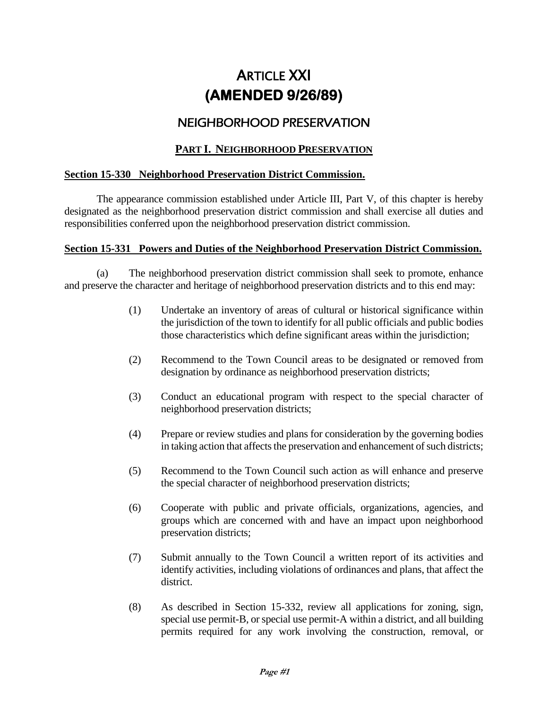# **ARTICLE XXI (AMENDED 9/26/89)**

# NEIGHBORHOOD PRESERVATION

## **PART I. NEIGHBORHOOD PRESERVATION**

#### **Section 15-330 Neighborhood Preservation District Commission.**

The appearance commission established under Article III, Part V, of this chapter is hereby designated as the neighborhood preservation district commission and shall exercise all duties and responsibilities conferred upon the neighborhood preservation district commission.

#### **Section 15-331 Powers and Duties of the Neighborhood Preservation District Commission.**

(a) The neighborhood preservation district commission shall seek to promote, enhance and preserve the character and heritage of neighborhood preservation districts and to this end may:

- (1) Undertake an inventory of areas of cultural or historical significance within the jurisdiction of the town to identify for all public officials and public bodies those characteristics which define significant areas within the jurisdiction;
- (2) Recommend to the Town Council areas to be designated or removed from designation by ordinance as neighborhood preservation districts;
- (3) Conduct an educational program with respect to the special character of neighborhood preservation districts;
- (4) Prepare or review studies and plans for consideration by the governing bodies in taking action that affects the preservation and enhancement of such districts;
- (5) Recommend to the Town Council such action as will enhance and preserve the special character of neighborhood preservation districts;
- (6) Cooperate with public and private officials, organizations, agencies, and groups which are concerned with and have an impact upon neighborhood preservation districts;
- (7) Submit annually to the Town Council a written report of its activities and identify activities, including violations of ordinances and plans, that affect the district.
- (8) As described in Section 15-332, review all applications for zoning, sign, special use permit-B, or special use permit-A within a district, and all building permits required for any work involving the construction, removal, or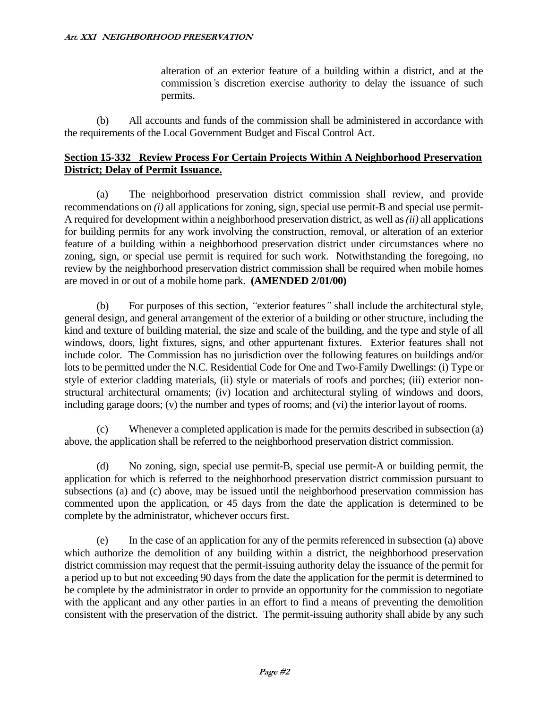alteration of an exterior feature of a building within a district, and at the commission*'*s discretion exercise authority to delay the issuance of such permits.

(b) All accounts and funds of the commission shall be administered in accordance with the requirements of the Local Government Budget and Fiscal Control Act.

#### **Section 15-332 Review Process For Certain Projects Within A Neighborhood Preservation District; Delay of Permit Issuance.**

(a) The neighborhood preservation district commission shall review, and provide recommendations on *(i)* all applications for zoning, sign, special use permit-B and special use permit-A required for development within a neighborhood preservation district, as well as *(ii)* all applications for building permits for any work involving the construction, removal, or alteration of an exterior feature of a building within a neighborhood preservation district under circumstances where no zoning, sign, or special use permit is required for such work. Notwithstanding the foregoing, no review by the neighborhood preservation district commission shall be required when mobile homes are moved in or out of a mobile home park. **(AMENDED 2/01/00)**

(b) For purposes of this section, *"*exterior features*"* shall include the architectural style, general design, and general arrangement of the exterior of a building or other structure, including the kind and texture of building material, the size and scale of the building, and the type and style of all windows, doors, light fixtures, signs, and other appurtenant fixtures. Exterior features shall not include color. The Commission has no jurisdiction over the following features on buildings and/or lots to be permitted under the N.C. Residential Code for One and Two-Family Dwellings: (i) Type or style of exterior cladding materials, (ii) style or materials of roofs and porches; (iii) exterior nonstructural architectural ornaments; (iv) location and architectural styling of windows and doors, including garage doors; (v) the number and types of rooms; and (vi) the interior layout of rooms.

(c) Whenever a completed application is made for the permits described in subsection (a) above, the application shall be referred to the neighborhood preservation district commission.

(d) No zoning, sign, special use permit-B, special use permit-A or building permit, the application for which is referred to the neighborhood preservation district commission pursuant to subsections (a) and (c) above, may be issued until the neighborhood preservation commission has commented upon the application, or 45 days from the date the application is determined to be complete by the administrator, whichever occurs first.

(e) In the case of an application for any of the permits referenced in subsection (a) above which authorize the demolition of any building within a district, the neighborhood preservation district commission may request that the permit-issuing authority delay the issuance of the permit for a period up to but not exceeding 90 days from the date the application for the permit is determined to be complete by the administrator in order to provide an opportunity for the commission to negotiate with the applicant and any other parties in an effort to find a means of preventing the demolition consistent with the preservation of the district. The permit-issuing authority shall abide by any such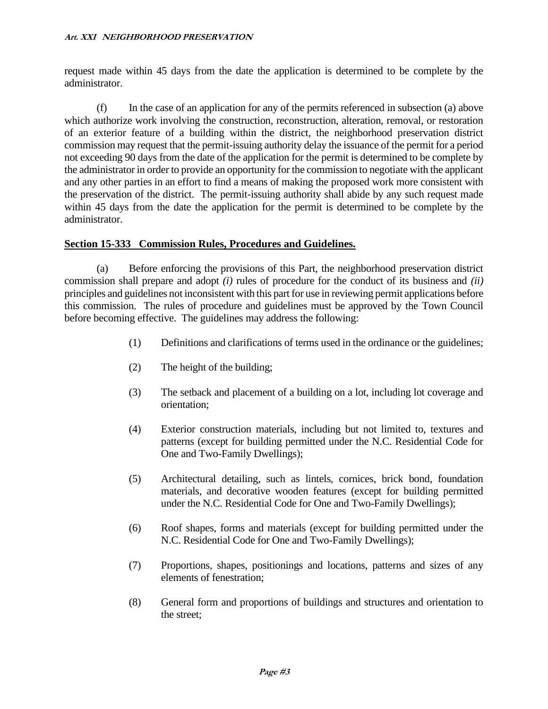request made within 45 days from the date the application is determined to be complete by the administrator.

(f) In the case of an application for any of the permits referenced in subsection (a) above which authorize work involving the construction, reconstruction, alteration, removal, or restoration of an exterior feature of a building within the district, the neighborhood preservation district commission may request that the permit-issuing authority delay the issuance of the permit for a period not exceeding 90 days from the date of the application for the permit is determined to be complete by the administrator in order to provide an opportunity for the commission to negotiate with the applicant and any other parties in an effort to find a means of making the proposed work more consistent with the preservation of the district. The permit-issuing authority shall abide by any such request made within 45 days from the date the application for the permit is determined to be complete by the administrator.

#### **Section 15-333 Commission Rules, Procedures and Guidelines.**

(a) Before enforcing the provisions of this Part, the neighborhood preservation district commission shall prepare and adopt *(i)* rules of procedure for the conduct of its business and *(ii)* principles and guidelines not inconsistent with this part for use in reviewing permit applications before this commission. The rules of procedure and guidelines must be approved by the Town Council before becoming effective. The guidelines may address the following:

- (1) Definitions and clarifications of terms used in the ordinance or the guidelines;
- (2) The height of the building;
- (3) The setback and placement of a building on a lot, including lot coverage and orientation;
- (4) Exterior construction materials, including but not limited to, textures and patterns (except for building permitted under the N.C. Residential Code for One and Two-Family Dwellings);
- (5) Architectural detailing, such as lintels, cornices, brick bond, foundation materials, and decorative wooden features (except for building permitted under the N.C. Residential Code for One and Two-Family Dwellings);
- (6) Roof shapes, forms and materials (except for building permitted under the N.C. Residential Code for One and Two-Family Dwellings);
- (7) Proportions, shapes, positionings and locations, patterns and sizes of any elements of fenestration;
- (8) General form and proportions of buildings and structures and orientation to the street;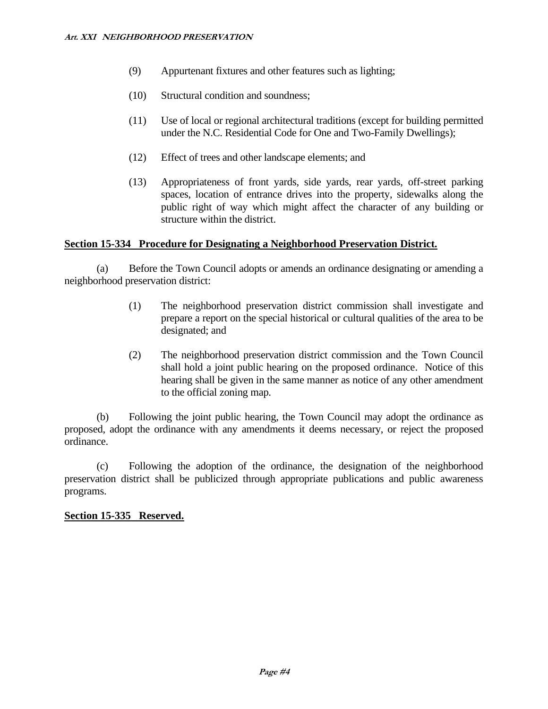- (9) Appurtenant fixtures and other features such as lighting;
- (10) Structural condition and soundness;
- (11) Use of local or regional architectural traditions (except for building permitted under the N.C. Residential Code for One and Two-Family Dwellings);
- (12) Effect of trees and other landscape elements; and
- (13) Appropriateness of front yards, side yards, rear yards, off-street parking spaces, location of entrance drives into the property, sidewalks along the public right of way which might affect the character of any building or structure within the district.

#### **Section 15-334 Procedure for Designating a Neighborhood Preservation District.**

(a) Before the Town Council adopts or amends an ordinance designating or amending a neighborhood preservation district:

- (1) The neighborhood preservation district commission shall investigate and prepare a report on the special historical or cultural qualities of the area to be designated; and
- (2) The neighborhood preservation district commission and the Town Council shall hold a joint public hearing on the proposed ordinance. Notice of this hearing shall be given in the same manner as notice of any other amendment to the official zoning map.

(b) Following the joint public hearing, the Town Council may adopt the ordinance as proposed, adopt the ordinance with any amendments it deems necessary, or reject the proposed ordinance.

(c) Following the adoption of the ordinance, the designation of the neighborhood preservation district shall be publicized through appropriate publications and public awareness programs.

#### **Section 15-335 Reserved.**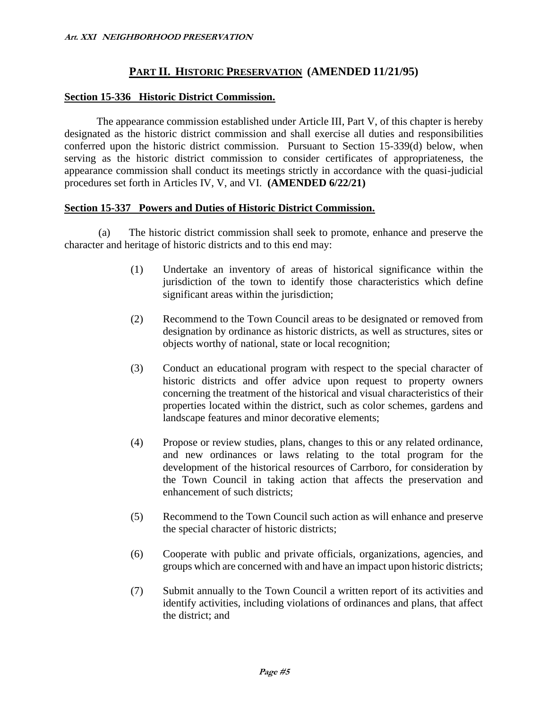### **PART II. HISTORIC PRESERVATION (AMENDED 11/21/95)**

#### **Section 15-336 Historic District Commission.**

The appearance commission established under Article III, Part V, of this chapter is hereby designated as the historic district commission and shall exercise all duties and responsibilities conferred upon the historic district commission. Pursuant to Section 15-339(d) below, when serving as the historic district commission to consider certificates of appropriateness, the appearance commission shall conduct its meetings strictly in accordance with the quasi-judicial procedures set forth in Articles IV, V, and VI. **(AMENDED 6/22/21)**

#### **Section 15-337 Powers and Duties of Historic District Commission.**

(a) The historic district commission shall seek to promote, enhance and preserve the character and heritage of historic districts and to this end may:

- (1) Undertake an inventory of areas of historical significance within the jurisdiction of the town to identify those characteristics which define significant areas within the jurisdiction;
- (2) Recommend to the Town Council areas to be designated or removed from designation by ordinance as historic districts, as well as structures, sites or objects worthy of national, state or local recognition;
- (3) Conduct an educational program with respect to the special character of historic districts and offer advice upon request to property owners concerning the treatment of the historical and visual characteristics of their properties located within the district, such as color schemes, gardens and landscape features and minor decorative elements;
- (4) Propose or review studies, plans, changes to this or any related ordinance, and new ordinances or laws relating to the total program for the development of the historical resources of Carrboro, for consideration by the Town Council in taking action that affects the preservation and enhancement of such districts;
- (5) Recommend to the Town Council such action as will enhance and preserve the special character of historic districts;
- (6) Cooperate with public and private officials, organizations, agencies, and groups which are concerned with and have an impact upon historic districts;
- (7) Submit annually to the Town Council a written report of its activities and identify activities, including violations of ordinances and plans, that affect the district; and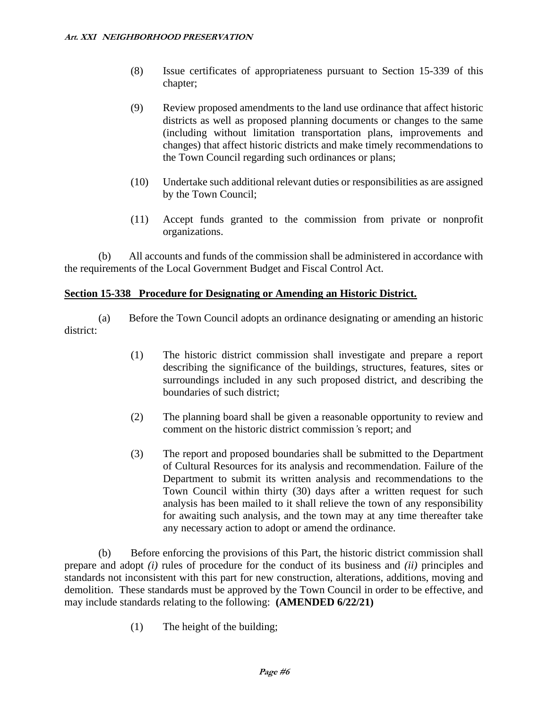- (8) Issue certificates of appropriateness pursuant to Section 15-339 of this chapter;
- (9) Review proposed amendments to the land use ordinance that affect historic districts as well as proposed planning documents or changes to the same (including without limitation transportation plans, improvements and changes) that affect historic districts and make timely recommendations to the Town Council regarding such ordinances or plans;
- (10) Undertake such additional relevant duties or responsibilities as are assigned by the Town Council;
- (11) Accept funds granted to the commission from private or nonprofit organizations.

(b) All accounts and funds of the commission shall be administered in accordance with the requirements of the Local Government Budget and Fiscal Control Act.

#### **Section 15-338 Procedure for Designating or Amending an Historic District.**

(a) Before the Town Council adopts an ordinance designating or amending an historic district:

- (1) The historic district commission shall investigate and prepare a report describing the significance of the buildings, structures, features, sites or surroundings included in any such proposed district, and describing the boundaries of such district;
- (2) The planning board shall be given a reasonable opportunity to review and comment on the historic district commission*'*s report; and
- (3) The report and proposed boundaries shall be submitted to the Department of Cultural Resources for its analysis and recommendation. Failure of the Department to submit its written analysis and recommendations to the Town Council within thirty (30) days after a written request for such analysis has been mailed to it shall relieve the town of any responsibility for awaiting such analysis, and the town may at any time thereafter take any necessary action to adopt or amend the ordinance.

(b) Before enforcing the provisions of this Part, the historic district commission shall prepare and adopt *(i)* rules of procedure for the conduct of its business and *(ii)* principles and standards not inconsistent with this part for new construction, alterations, additions, moving and demolition. These standards must be approved by the Town Council in order to be effective, and may include standards relating to the following: **(AMENDED 6/22/21)**

(1) The height of the building;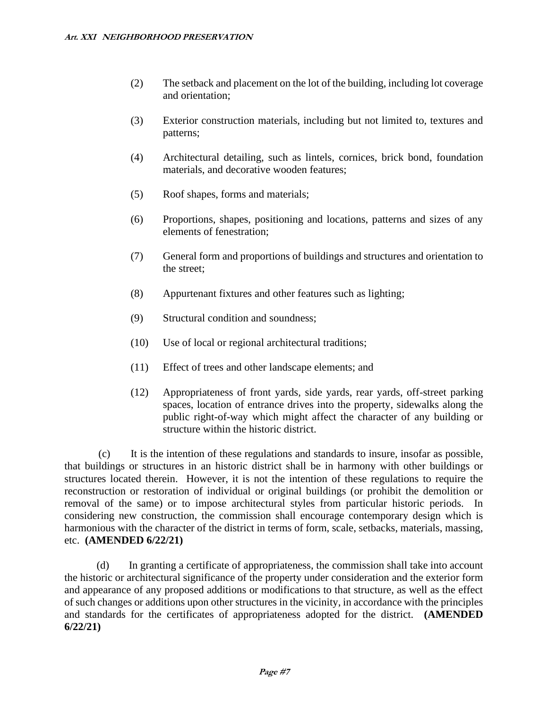- (2) The setback and placement on the lot of the building, including lot coverage and orientation;
- (3) Exterior construction materials, including but not limited to, textures and patterns;
- (4) Architectural detailing, such as lintels, cornices, brick bond, foundation materials, and decorative wooden features;
- (5) Roof shapes, forms and materials;
- (6) Proportions, shapes, positioning and locations, patterns and sizes of any elements of fenestration;
- (7) General form and proportions of buildings and structures and orientation to the street;
- (8) Appurtenant fixtures and other features such as lighting;
- (9) Structural condition and soundness;
- (10) Use of local or regional architectural traditions;
- (11) Effect of trees and other landscape elements; and
- (12) Appropriateness of front yards, side yards, rear yards, off-street parking spaces, location of entrance drives into the property, sidewalks along the public right-of-way which might affect the character of any building or structure within the historic district.

(c) It is the intention of these regulations and standards to insure, insofar as possible, that buildings or structures in an historic district shall be in harmony with other buildings or structures located therein. However, it is not the intention of these regulations to require the reconstruction or restoration of individual or original buildings (or prohibit the demolition or removal of the same) or to impose architectural styles from particular historic periods. In considering new construction, the commission shall encourage contemporary design which is harmonious with the character of the district in terms of form, scale, setbacks, materials, massing, etc. **(AMENDED 6/22/21)**

(d) In granting a certificate of appropriateness, the commission shall take into account the historic or architectural significance of the property under consideration and the exterior form and appearance of any proposed additions or modifications to that structure, as well as the effect of such changes or additions upon other structures in the vicinity, in accordance with the principles and standards for the certificates of appropriateness adopted for the district. **(AMENDED 6/22/21)**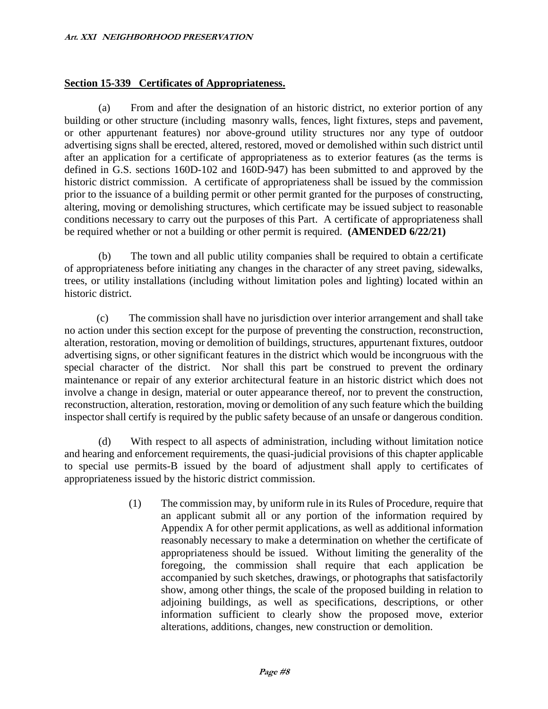#### **Section 15-339 Certificates of Appropriateness.**

(a) From and after the designation of an historic district, no exterior portion of any building or other structure (including masonry walls, fences, light fixtures, steps and pavement, or other appurtenant features) nor above-ground utility structures nor any type of outdoor advertising signs shall be erected, altered, restored, moved or demolished within such district until after an application for a certificate of appropriateness as to exterior features (as the terms is defined in G.S. sections 160D-102 and 160D-947) has been submitted to and approved by the historic district commission. A certificate of appropriateness shall be issued by the commission prior to the issuance of a building permit or other permit granted for the purposes of constructing, altering, moving or demolishing structures, which certificate may be issued subject to reasonable conditions necessary to carry out the purposes of this Part. A certificate of appropriateness shall be required whether or not a building or other permit is required. **(AMENDED 6/22/21)**

(b) The town and all public utility companies shall be required to obtain a certificate of appropriateness before initiating any changes in the character of any street paving, sidewalks, trees, or utility installations (including without limitation poles and lighting) located within an historic district.

(c) The commission shall have no jurisdiction over interior arrangement and shall take no action under this section except for the purpose of preventing the construction, reconstruction, alteration, restoration, moving or demolition of buildings, structures, appurtenant fixtures, outdoor advertising signs, or other significant features in the district which would be incongruous with the special character of the district. Nor shall this part be construed to prevent the ordinary maintenance or repair of any exterior architectural feature in an historic district which does not involve a change in design, material or outer appearance thereof, nor to prevent the construction, reconstruction, alteration, restoration, moving or demolition of any such feature which the building inspector shall certify is required by the public safety because of an unsafe or dangerous condition.

(d) With respect to all aspects of administration, including without limitation notice and hearing and enforcement requirements, the quasi-judicial provisions of this chapter applicable to special use permits-B issued by the board of adjustment shall apply to certificates of appropriateness issued by the historic district commission.

> (1) The commission may, by uniform rule in its Rules of Procedure, require that an applicant submit all or any portion of the information required by Appendix A for other permit applications, as well as additional information reasonably necessary to make a determination on whether the certificate of appropriateness should be issued. Without limiting the generality of the foregoing, the commission shall require that each application be accompanied by such sketches, drawings, or photographs that satisfactorily show, among other things, the scale of the proposed building in relation to adjoining buildings, as well as specifications, descriptions, or other information sufficient to clearly show the proposed move, exterior alterations, additions, changes, new construction or demolition.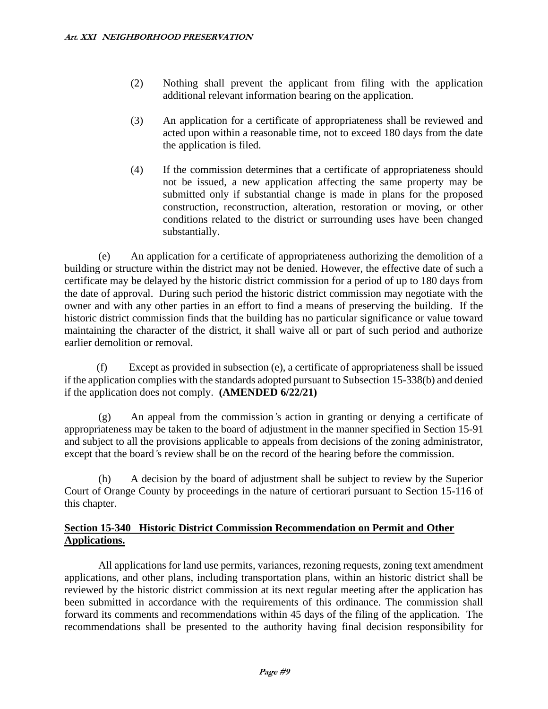- (2) Nothing shall prevent the applicant from filing with the application additional relevant information bearing on the application.
- (3) An application for a certificate of appropriateness shall be reviewed and acted upon within a reasonable time, not to exceed 180 days from the date the application is filed.
- (4) If the commission determines that a certificate of appropriateness should not be issued, a new application affecting the same property may be submitted only if substantial change is made in plans for the proposed construction, reconstruction, alteration, restoration or moving, or other conditions related to the district or surrounding uses have been changed substantially.

(e) An application for a certificate of appropriateness authorizing the demolition of a building or structure within the district may not be denied. However, the effective date of such a certificate may be delayed by the historic district commission for a period of up to 180 days from the date of approval. During such period the historic district commission may negotiate with the owner and with any other parties in an effort to find a means of preserving the building. If the historic district commission finds that the building has no particular significance or value toward maintaining the character of the district, it shall waive all or part of such period and authorize earlier demolition or removal.

(f) Except as provided in subsection (e), a certificate of appropriateness shall be issued if the application complies with the standards adopted pursuant to Subsection 15-338(b) and denied if the application does not comply. **(AMENDED 6/22/21)**

(g) An appeal from the commission*'*s action in granting or denying a certificate of appropriateness may be taken to the board of adjustment in the manner specified in Section 15-91 and subject to all the provisions applicable to appeals from decisions of the zoning administrator, except that the board*'*s review shall be on the record of the hearing before the commission.

(h) A decision by the board of adjustment shall be subject to review by the Superior Court of Orange County by proceedings in the nature of certiorari pursuant to Section 15-116 of this chapter.

#### **Section 15-340 Historic District Commission Recommendation on Permit and Other Applications.**

All applications for land use permits, variances, rezoning requests, zoning text amendment applications, and other plans, including transportation plans, within an historic district shall be reviewed by the historic district commission at its next regular meeting after the application has been submitted in accordance with the requirements of this ordinance. The commission shall forward its comments and recommendations within 45 days of the filing of the application. The recommendations shall be presented to the authority having final decision responsibility for